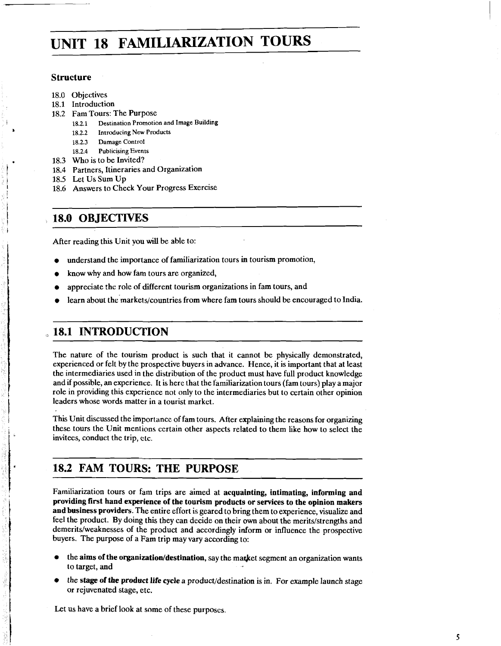# **UNIT 18 FAMILIARIZATION TOURS**

### **Structure**

- 18.0 Objectives
- 18.1 Introduction
- 18.2 Fam Tours: The Purpose<br>18.2.1 Destination Promotic
	- **18.2.1** Destination Promotion and Image Building
		- **<sup>b</sup>18.2.2** Introducing New Products
		- **18.2.3** Damage Control
	- 18.2.4 Publicising Events
- 18.3 Who is to be Invited?
- 18.4 Partners, Itineraries and Organization
- 18.5 Let Us Sum Up
- ! 18.6 Answers to Check Your Progress Exercise

# ! **18.0 OBJECTIVES**

After reading this Unit you will be able to:

- understand the importance of familiarization tours in tourism promotion,
- know why and how fam tours are organized,
- appreciate the role of different tourism organizations in fam tours, and
- learn about the markets/countries from where fam tours should be encouraged to India.

# ,, **18.1 INTRODUCTION**

The nature of the tourism product is such that it cannot be physically demonstrated, experienced or felt by the prospective buyers in advance. Hence, it is important that at least the intermediaries used in the distribution of the product must have full product knowledge and if possible, an experience. It is here that the familiarization tours (fam tours) play a major role in providing this experience not only to the intermediaries but to certain other opinion leaders whose words matter in a tourist market.

This Unit discussed the importance of fam tours. After explaining the reasons for organizing these tours the Unit mentions certain other aspects related to them like how to select the invitees, conduct the trip, etc.

# **18.2 FAM TOURS: THE PURPOSE**

Familiarization tours or fam trips are aimed at **acquainting, intimating, informing and providing first hand experience of the tourism products or services to the opinion makers and business providers.** The entire effort is geared to bring them to experience, visualize and feel the product. By doing this they can decide on their own about the merits/strengths and demerits/weaknesses of the product and accordingly inform or influence the prospective buyers. The purpose of a Fam trip may vary according to:

- the aims of the organization/destination, say the market segment an organization wants to target, and
- I the **stage of the product life cycle a** product/destination is in. For example launch stage or rejuvenated stage, etc.

Let us have a brief look at some of these purposes.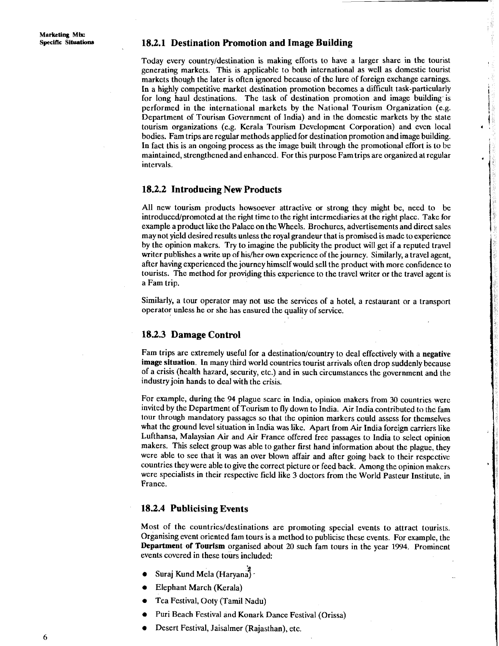#### **18.2.1 Destination Promotion and Image Building**

Today every country/destination is making efforts to have a larger share in the tourist generating markets. This is applicable to both international as well as domestic tourist markets though the later is often ignored because of the lure of foreign exchange earnings. In a highly competitive market destination promotion becomes a difficult task-particularly for long haul destinations. The task of destination promotion and image building is performed in the international markets by the National Tourism Organization (e.g. Department of Tourism Government of India) and in the domestic markets by the state tourism organizations (e.g. Kerala Tourism Development Corporation) and even local **<sup>d</sup>** bodies. Fam trips are regular methods applied for destination promotion and image building. In fact this is an ongoing process as the image built through the promotional effort is to bc maintained, strengthened and enhanced. For this purpose Fam trips are organized at regular intervals.

#### **18.2.2 Introducing New Products** <sup>1</sup>

All new tourism products howsoever attractive or strong they might be, need to be introduced/promoted at the right time to the right intermediaries at the right place. Take for example a product like the Palace on the Wheels. Brochures, advertisements and direct sales may not yield desired results unless the royal grandeur that is promised is made to experience by the opinion makers. Try to imagine the publicity the product will get if a reputed travel writer publishes a write up of his/her own experience of the journey. Similarly, a travel agent, after having experienced the journey himself would sell the product with more confidence to tourists. The method for providing this experience to the travel writer or the travel agent is a Fam trip.

Similarly, a tour operator may not use the services of a hotel, a restaurant or a transport operator unless he or she has ensured the quality of service. , ,

#### **18.2.3 Damage Control**

Fam trips are extremely useful for a destination/country to deal effectively with a negative **image situation.** In many third world countries tourist arrivals often drop suddenly because of a crisis (health hazard, security, etc.) and in such circumstances the government and the industry join hands to deal with the crisis.

For example, during the 94 plague scarc in India, opinion makers from 30 countries were invited by the Department of Tourism to fly down to India. Air India contributed to the fam tour through mandatory passagcs so that the opinion markers could assess for themselves what the ground level situation in India was like. Apart from Air India foreign carriers like Lufthansa, Malaysian Air and Air France offered free passages to India to select opinion makers. This select group was able to gather first hand information about the plague, they were able to see that it was an over blown affair and after going back to their respective countries they were able to give the correct picture or feed back. Among the opinion makers were specialists in their respective field like 3 doctors from the World Pasteur Institute, in France.

# **18.2.4 Publicising Events** I

Most of the countries/destinations are promoting special events to attract tourists. Organising event oriented fam tours is a method to publicise these events. For example, the **Department of Tourism** organised about **20** such fam tours in the year 1994. Prominent events covered in these tours included:

- **f** Suraj Kund Mela (Haryana) -
- Elephant March (Kerala)
- Tca Festival, Ooty (Tamil Nadu)
- Puri Beach Festival and Konark Dance Festival (Orissa)
- Desert Festival, Jaisalmer (Rajasthan), etc.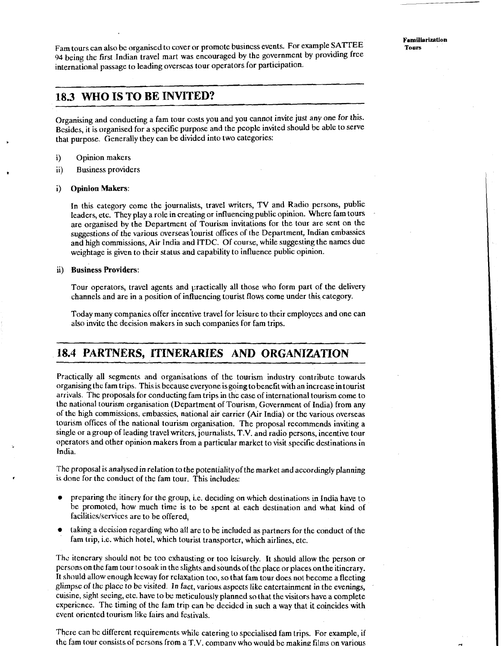Farn tours can also bc organised to cover or promote busincss events. For example **SATTEE**  94 being the first Indian travel mart was encouraged by the government by providing free international passage to leading ovcrseas tour operators for participation.

## **18.3 WHO IS TO BE INVITED?**

Organising and conducting a farn tour costs you and you cannot invite just any one for this. Besides, it is organised for a specific purpose and the people invited should be able to serve that purpose. Generally they can be divided into two categories:

- i) Opinion makers
- ii) Business providers

#### i) Opinion Makers:

In this category comc the journalists, travel writers, TV and Radio persons, public leaders, etc. They play a role in creating or influencing public opinion. Where fam tours are organised by the Department of Tourism invitations for the tour are sent on the suggestions of the various overseas'tourist offices of the Department, Indian embassies and high commissions, Air India and ITDC. Of course, while suggesting the names due weightage is given to their status and capability to influence public opinion.

#### ii) Business Providers:

Tour operators, travel agents and practically all those who form part of the delivery channels and are in a position of influencing tourist flows come under this category.

Today many companies offer incentive travel for leisure to their employees and one can also invite the decision makers in such companies for farn trips.

# **18.4 PARTNERS, ITINERARIES AND ORGANIZATION**

Practically all segments and organisations of the tourism industry contribute towards organising the farn trips. This is because everyone is going to benefit with an increase in tourist arrivals. The proposals for conducting farn trips in the case of international tourism come to the national tourism organisation (Department of Tourism, Government of India) from any of the high commissions, embassies, national air carrier (Air India) or the various overseas tourism offices of the national tourism organisation. The proposal recommends inviting a single or a group of leading travel writers, journalists. T.V. and radio persons, incentive tour operators and other opinion makers from a particular market to visit specific destinations in India.

The proposal is analysed in relation to the potentiality of the market and accordingly planning is done for thc conduct of the farn tour. This includes:

- preparing the itinery for the group, i.e. deciding on which destinations in India have to be promoted, how much time is to be spent at each destination and what kind of facilitics/serviccs are to be offered,
- taking a dccision rcgarding who a11 are to be included as partners for the conduct of the fam trip, i.e. which hotel, which tourist transporter, which airlines, etc.

The itencrary should not be too exhausting or too leisurely. It should allow the person or persons on the fam tour to soak in the slights and sounds of the place or places on the itinerary. It should allow enough lceway for relaxation too, so that fam tour does not become a fleeting glimpse of thc placc to be visited. In fact, various aspects like entertainment in the evenings, cuisine, sight seeing, etc. have to be meticulously planned so that the visitors have a complete cxpericnce. The timing of the farn trip can be decidcd in such a way that it coincides with event oriented tourism likc fairs and festivals.

There can be different requirements while catering to specialised fam trips. For example, if the fam tour consists of persons from a  $T.V.$  company who would be making films on various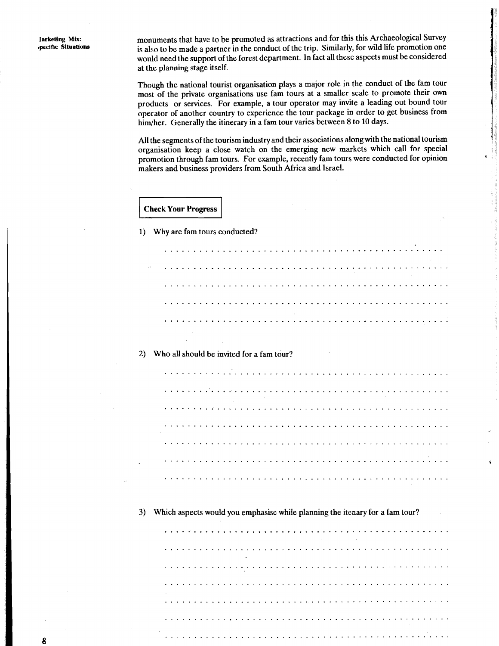monuments that have to be promoted as attractions and for this this Archaeological Survey is also to be made a partner in the conduct of the trip. Similarly, for wild life promotion one would need the support of the forest department. In fact all these aspects must be considered at the planning stage itself.

Though the national tourist organisation plays a major role in the conduct of the fam tour most of the private organisations use farn tours at a smaller scale to promote their own products or services. For example, a tour operator may invite a leading out bound tour operator of another country to experience the tour package in order to get business from him/her. Generally the itinerary in a fam tour varies between 8 to 10 days.

All the segments of the tourism industry and their associations along with the national tourism organisation keep a close watch on the emerging new markets which call for special promotion through farn tours. For example, recently farn tours were conducted for opinion makers and business providers from South Africa and Israel.

1) Why are fam tours conducted?

anouments that have to be promoted as attractions and for this this Archaeological Survey<br>also to be made a partner in the conduct of the trip. Similarly, for wild life promotion one<br>columb meetihe support of the forest de

#### 2) Who all should be invited for a fam tour?

3) Which aspects would you emphasise while planning the itenary for a fam tour?

................................................. .................................................